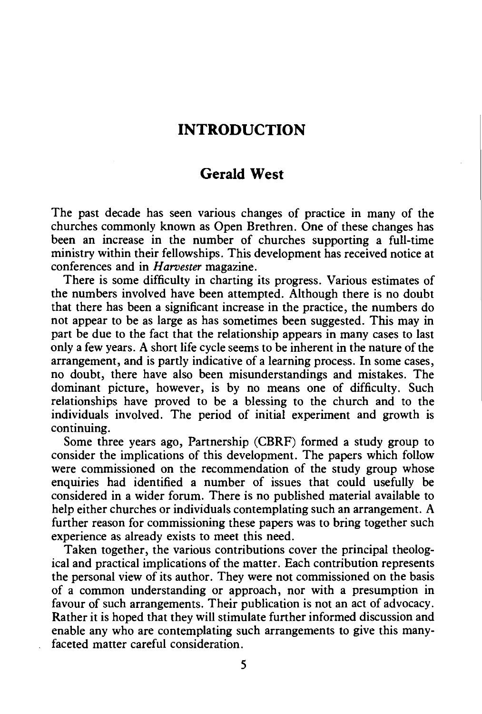## **INTRODUCTION**

## **Gerald West**

The past decade has seen various changes of practice in many of the churches commonly known as Open Brethren. One of these changes has been an increase in the number of churches supporting a full-time ministry within their fellowships. This development has received notice at conferences and in *Harvester* magazine.

There is some difficulty in charting its progress. Various estimates of the numbers involved have been attempted. Although there is no doubt that there has been a significant increase in the practice, the numbers do not appear to be as large as has sometimes been suggested. This may in part be due to the fact that the relationship appears in many cases to last only a few years. A short life cycle seems to be inherent in the nature of the arrangement, and is partly indicative of a learning process. In some cases, no doubt, there have also been misunderstandings and mistakes. The dominant picture, however, is by no means one of difficulty. Such relationships have proved to be a blessing to the church and to the individuals involved. The period of initial experiment and growth is continuing.

Some three years ago, Partnership (CBRF) formed a study group to consider the implications of this development. The papers which follow were commissioned on the recommendation of the study group whose enquiries had identified a number of issues that could usefully be considered in a wider forum. There is no published material available to help either churches or individuals contemplating such an arrangement. A further reason for commissioning these papers was to bring together such experience as already exists to meet this need.

Taken together, the various contributions cover the principal theological and practical implications of the matter. Each contribution represents the personal view of its author. They were not commissioned on the basis of a common understanding or approach, nor with a presumption in favour of such arrangements. Their publication is not an act of advocacy. Rather it is hoped that they will stimulate further informed discussion and enable any who are contemplating such arrangements to give this manyfaceted matter careful consideration.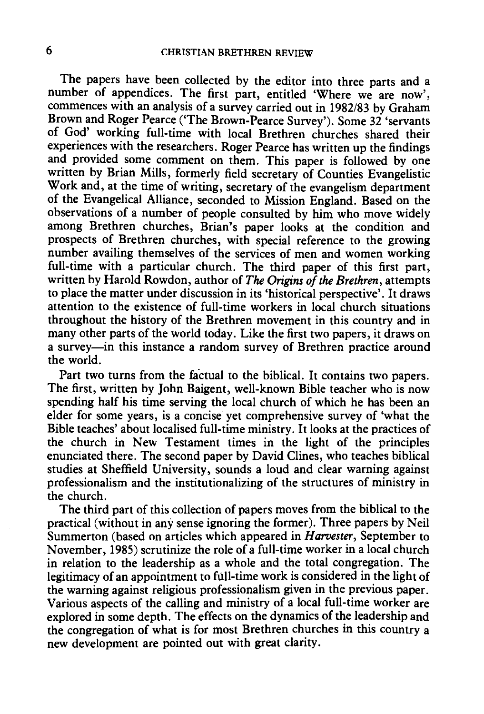The papers have been collected by the editor into three parts and a number of appendices. The first part, entitled 'Where we are now', commences with an analysis of a survey carried out in 1982/83 by Graham Brown and Roger Pearce ('The Brown-Pearce Survey'). Some 32 'servants of God' working full-time with local Brethren churches shared their experiences with the researchers. Roger Pearce has written up the findings and provided some comment on them. This paper is followed by one written by Brian Mills, formerly field secretary of Counties Evangelistic Work and, at the time of writing, secretary of the evangelism department of the Evangelical Alliance, seconded to Mission England. Based on the observations of a number of people consulted by him who move widely among Brethren churches, Brian's paper looks at the condition and prospects of Brethren churches, with special reference to the growing number availing themselves of the services of men and women working full-time with a particular church. The third paper of this first part, written by Harold Rowdon, author of *The Origins of the Brethren,* attempts to place the matter under discussion in its 'historical perspective'. It draws attention to the existence of full-time workers in local church situations throughout the history of the Brethren movement in this country and in many other parts of the world today. Like the first two papers, it draws on a survey-in this instance a random survey of Brethren practice around the world.

Part two turns from the factual to the biblical. It contains two papers. The first, written by John Baigent, well-known Bible teacher who is now spending half his time serving the local church of which he has been an elder for some years, is a concise yet comprehensive survey of 'what the Bible teaches' about localised full-time ministry. It looks at the practices of the church in New Testament times in the light of the principles enunciated there. The second paper by David Clines, who teaches biblical studies at Sheffield University, sounds a loud and clear warning against professionalism and the institutionalizing of the structures of ministry in the church.

The third part of this collection of papers moves from the biblical to the practical (without in any sense ignoring the former). Three papers by Neil Summerton (based on articles which appeared in *Harvester,* September to November, 1985) scrutinize the role of a full-time worker in a local church in relation to the leadership as a whole and the total congregation. The legitimacy of an appointment to full-time work is considered in the light of the warning against religious professionalism given in the previous paper. Various aspects of the calling and ministry of a local full-time worker are explored in some depth. The effects on the dynamics of the leadership and the congregation of what is for most Brethren churches in this country a new development are pointed out with great clarity.